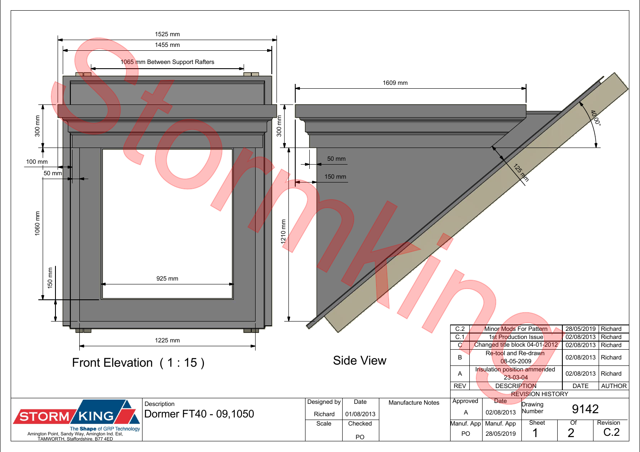